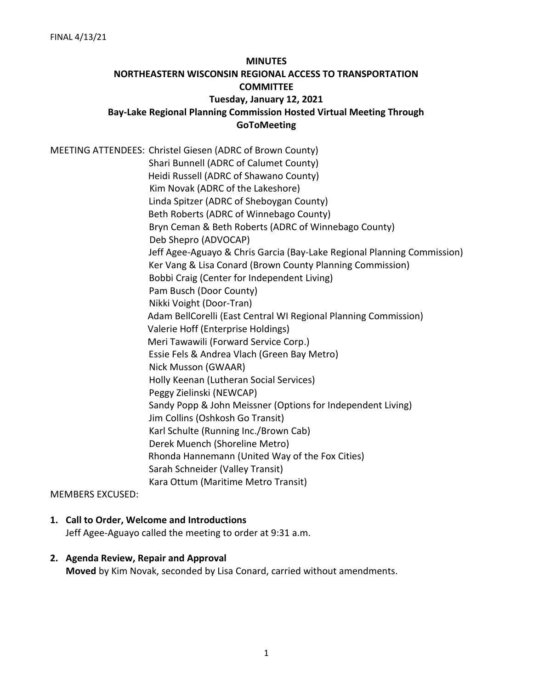# **MINUTES NORTHEASTERN WISCONSIN REGIONAL ACCESS TO TRANSPORTATION COMMITTEE Tuesday, January 12, 2021 Bay-Lake Regional Planning Commission Hosted Virtual Meeting Through GoToMeeting**

MEETING ATTENDEES: Christel Giesen (ADRC of Brown County) Shari Bunnell (ADRC of Calumet County) Heidi Russell (ADRC of Shawano County) Kim Novak (ADRC of the Lakeshore) Linda Spitzer (ADRC of Sheboygan County) Beth Roberts (ADRC of Winnebago County) Bryn Ceman & Beth Roberts (ADRC of Winnebago County) Deb Shepro (ADVOCAP) Jeff Agee-Aguayo & Chris Garcia (Bay-Lake Regional Planning Commission) Ker Vang & Lisa Conard (Brown County Planning Commission) Bobbi Craig (Center for Independent Living) Pam Busch (Door County) Nikki Voight (Door-Tran) Adam BellCorelli (East Central WI Regional Planning Commission) Valerie Hoff (Enterprise Holdings) Meri Tawawili (Forward Service Corp.) Essie Fels & Andrea Vlach (Green Bay Metro) Nick Musson (GWAAR) Holly Keenan (Lutheran Social Services) Peggy Zielinski (NEWCAP) Sandy Popp & John Meissner (Options for Independent Living) Jim Collins (Oshkosh Go Transit) Karl Schulte (Running Inc./Brown Cab) Derek Muench (Shoreline Metro) Rhonda Hannemann (United Way of the Fox Cities) Sarah Schneider (Valley Transit) Kara Ottum (Maritime Metro Transit)

MEMBERS EXCUSED:

#### **1. Call to Order, Welcome and Introductions**

Jeff Agee-Aguayo called the meeting to order at 9:31 a.m.

#### **2. Agenda Review, Repair and Approval**

**Moved** by Kim Novak, seconded by Lisa Conard, carried without amendments.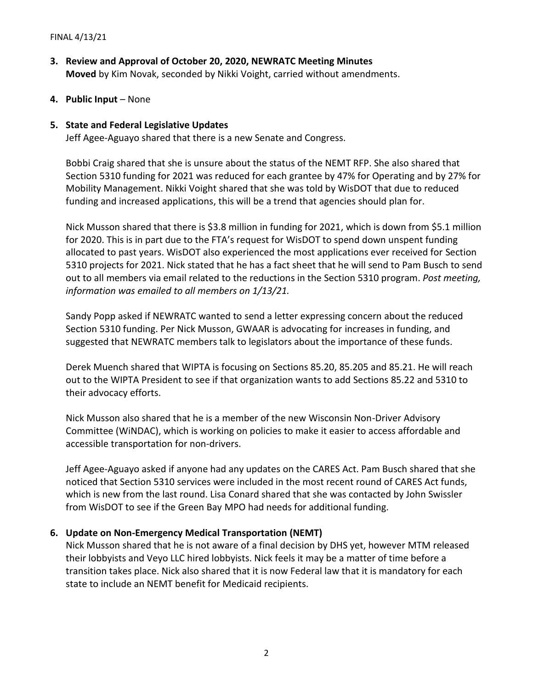- **3. Review and Approval of October 20, 2020, NEWRATC Meeting Minutes Moved** by Kim Novak, seconded by Nikki Voight, carried without amendments.
- **4. Public Input**  None

# **5. State and Federal Legislative Updates**

Jeff Agee-Aguayo shared that there is a new Senate and Congress.

Bobbi Craig shared that she is unsure about the status of the NEMT RFP. She also shared that Section 5310 funding for 2021 was reduced for each grantee by 47% for Operating and by 27% for Mobility Management. Nikki Voight shared that she was told by WisDOT that due to reduced funding and increased applications, this will be a trend that agencies should plan for.

Nick Musson shared that there is \$3.8 million in funding for 2021, which is down from \$5.1 million for 2020. This is in part due to the FTA's request for WisDOT to spend down unspent funding allocated to past years. WisDOT also experienced the most applications ever received for Section 5310 projects for 2021. Nick stated that he has a fact sheet that he will send to Pam Busch to send out to all members via email related to the reductions in the Section 5310 program. *Post meeting, information was emailed to all members on 1/13/21.*

Sandy Popp asked if NEWRATC wanted to send a letter expressing concern about the reduced Section 5310 funding. Per Nick Musson, GWAAR is advocating for increases in funding, and suggested that NEWRATC members talk to legislators about the importance of these funds.

Derek Muench shared that WIPTA is focusing on Sections 85.20, 85.205 and 85.21. He will reach out to the WIPTA President to see if that organization wants to add Sections 85.22 and 5310 to their advocacy efforts.

Nick Musson also shared that he is a member of the new Wisconsin Non-Driver Advisory Committee (WiNDAC), which is working on policies to make it easier to access affordable and accessible transportation for non-drivers.

Jeff Agee-Aguayo asked if anyone had any updates on the CARES Act. Pam Busch shared that she noticed that Section 5310 services were included in the most recent round of CARES Act funds, which is new from the last round. Lisa Conard shared that she was contacted by John Swissler from WisDOT to see if the Green Bay MPO had needs for additional funding.

# **6. Update on Non-Emergency Medical Transportation (NEMT)**

Nick Musson shared that he is not aware of a final decision by DHS yet, however MTM released their lobbyists and Veyo LLC hired lobbyists. Nick feels it may be a matter of time before a transition takes place. Nick also shared that it is now Federal law that it is mandatory for each state to include an NEMT benefit for Medicaid recipients.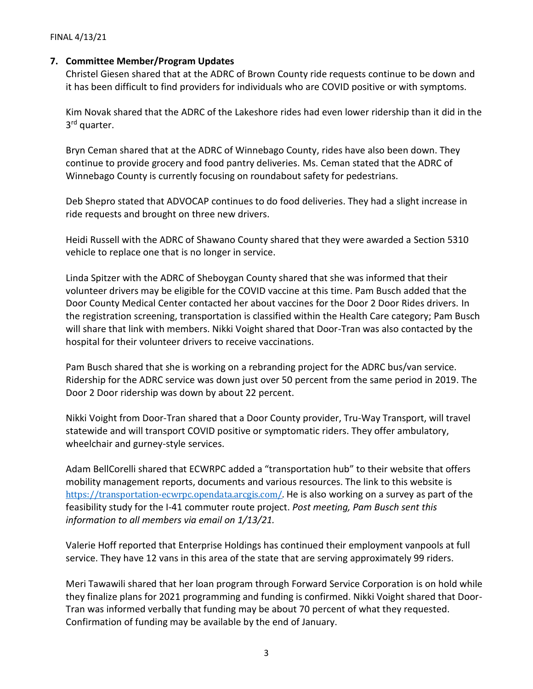#### **7. Committee Member/Program Updates**

Christel Giesen shared that at the ADRC of Brown County ride requests continue to be down and it has been difficult to find providers for individuals who are COVID positive or with symptoms.

Kim Novak shared that the ADRC of the Lakeshore rides had even lower ridership than it did in the 3<sup>rd</sup> quarter.

Bryn Ceman shared that at the ADRC of Winnebago County, rides have also been down. They continue to provide grocery and food pantry deliveries. Ms. Ceman stated that the ADRC of Winnebago County is currently focusing on roundabout safety for pedestrians.

Deb Shepro stated that ADVOCAP continues to do food deliveries. They had a slight increase in ride requests and brought on three new drivers.

Heidi Russell with the ADRC of Shawano County shared that they were awarded a Section 5310 vehicle to replace one that is no longer in service.

Linda Spitzer with the ADRC of Sheboygan County shared that she was informed that their volunteer drivers may be eligible for the COVID vaccine at this time. Pam Busch added that the Door County Medical Center contacted her about vaccines for the Door 2 Door Rides drivers. In the registration screening, transportation is classified within the Health Care category; Pam Busch will share that link with members. Nikki Voight shared that Door-Tran was also contacted by the hospital for their volunteer drivers to receive vaccinations.

Pam Busch shared that she is working on a rebranding project for the ADRC bus/van service. Ridership for the ADRC service was down just over 50 percent from the same period in 2019. The Door 2 Door ridership was down by about 22 percent.

Nikki Voight from Door-Tran shared that a Door County provider, Tru-Way Transport, will travel statewide and will transport COVID positive or symptomatic riders. They offer ambulatory, wheelchair and gurney-style services.

Adam BellCorelli shared that ECWRPC added a "transportation hub" to their website that offers mobility management reports, documents and various resources. The link to this website is [https://transportation-ecwrpc.opendata.arcgis.com/.](https://transportation-ecwrpc.opendata.arcgis.com/) He is also working on a survey as part of the feasibility study for the I-41 commuter route project. *Post meeting, Pam Busch sent this information to all members via email on 1/13/21.* 

Valerie Hoff reported that Enterprise Holdings has continued their employment vanpools at full service. They have 12 vans in this area of the state that are serving approximately 99 riders.

Meri Tawawili shared that her loan program through Forward Service Corporation is on hold while they finalize plans for 2021 programming and funding is confirmed. Nikki Voight shared that Door-Tran was informed verbally that funding may be about 70 percent of what they requested. Confirmation of funding may be available by the end of January.